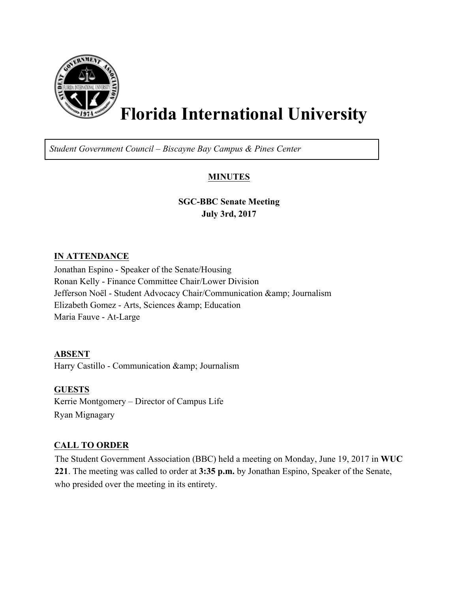

# **Florida International University**

*Student Government Council – Biscayne Bay Campus & Pines Center*

## **MINUTES**

**SGC-BBC Senate Meeting July 3rd, 2017**

#### **IN ATTENDANCE**

Jonathan Espino - Speaker of the Senate/Housing Ronan Kelly - Finance Committee Chair/Lower Division Jefferson Noël - Student Advocacy Chair/Communication & amp; Journalism Elizabeth Gomez - Arts, Sciences & amp; Education Maria Fauve - At-Large

**ABSENT**

Harry Castillo - Communication & amp; Journalism

**GUESTS** Kerrie Montgomery – Director of Campus Life Ryan Mignagary

### **CALL TO ORDER**

The Student Government Association (BBC) held a meeting on Monday, June 19, 2017 in **WUC 221**. The meeting was called to order at **3:35 p.m.** by Jonathan Espino, Speaker of the Senate, who presided over the meeting in its entirety.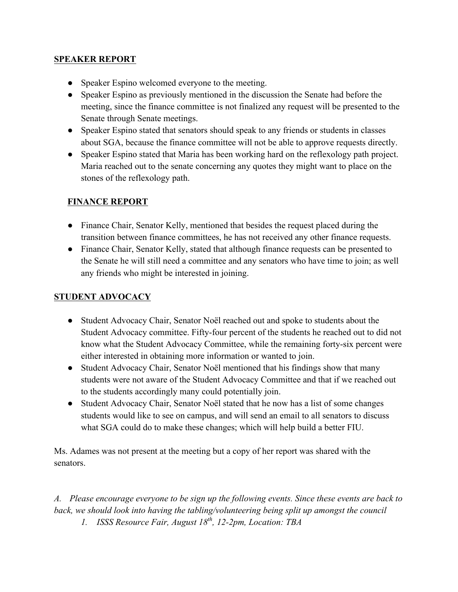#### **SPEAKER REPORT**

- Speaker Espino welcomed everyone to the meeting.
- Speaker Espino as previously mentioned in the discussion the Senate had before the meeting, since the finance committee is not finalized any request will be presented to the Senate through Senate meetings.
- Speaker Espino stated that senators should speak to any friends or students in classes about SGA, because the finance committee will not be able to approve requests directly.
- Speaker Espino stated that Maria has been working hard on the reflexology path project. Maria reached out to the senate concerning any quotes they might want to place on the stones of the reflexology path.

## **FINANCE REPORT**

- Finance Chair, Senator Kelly, mentioned that besides the request placed during the transition between finance committees, he has not received any other finance requests.
- Finance Chair, Senator Kelly, stated that although finance requests can be presented to the Senate he will still need a committee and any senators who have time to join; as well any friends who might be interested in joining.

## **STUDENT ADVOCACY**

- Student Advocacy Chair, Senator Noёl reached out and spoke to students about the Student Advocacy committee. Fifty-four percent of the students he reached out to did not know what the Student Advocacy Committee, while the remaining forty-six percent were either interested in obtaining more information or wanted to join.
- Student Advocacy Chair, Senator Noël mentioned that his findings show that many students were not aware of the Student Advocacy Committee and that if we reached out to the students accordingly many could potentially join.
- Student Advocacy Chair, Senator Noël stated that he now has a list of some changes students would like to see on campus, and will send an email to all senators to discuss what SGA could do to make these changes; which will help build a better FIU.

Ms. Adames was not present at the meeting but a copy of her report was shared with the senators.

*A. Please encourage everyone to be sign up the following events. Since these events are back to back, we should look into having the tabling/volunteering being split up amongst the council*

*1. ISSS Resource Fair, August 18th, 12-2pm, Location: TBA*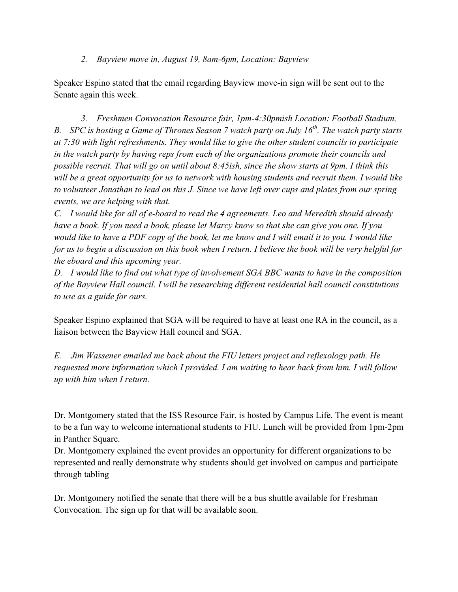*2. Bayview move in, August 19, 8am-6pm, Location: Bayview*

Speaker Espino stated that the email regarding Bayview move-in sign will be sent out to the Senate again this week.

*3. Freshmen Convocation Resource fair, 1pm-4:30pmish Location: Football Stadium, B. SPC is hosting a Game of Thrones Season 7 watch party on July 16th. The watch party starts at 7:30 with light refreshments. They would like to give the other student councils to participate in the watch party by having reps from each of the organizations promote their councils and possible recruit. That will go on until about 8:45ish, since the show starts at 9pm. I think this will be a great opportunity for us to network with housing students and recruit them. I would like to volunteer Jonathan to lead on this J. Since we have left over cups and plates from our spring events, we are helping with that.*

*C. I would like for all of e-board to read the 4 agreements. Leo and Meredith should already have a book. If you need a book, please let Marcy know so that she can give you one. If you would like to have a PDF copy of the book, let me know and I will email it to you. I would like for us to begin a discussion on this book when I return. I believe the book will be very helpful for the eboard and this upcoming year.*

*D. I would like to find out what type of involvement SGA BBC wants to have in the composition of the Bayview Hall council. I will be researching different residential hall council constitutions to use as a guide for ours.*

Speaker Espino explained that SGA will be required to have at least one RA in the council, as a liaison between the Bayview Hall council and SGA.

*E. Jim Wassener emailed me back about the FIU letters project and reflexology path. He requested more information which I provided. I am waiting to hear back from him. I will follow up with him when I return.*

Dr. Montgomery stated that the ISS Resource Fair, is hosted by Campus Life. The event is meant to be a fun way to welcome international students to FIU. Lunch will be provided from 1pm-2pm in Panther Square.

Dr. Montgomery explained the event provides an opportunity for different organizations to be represented and really demonstrate why students should get involved on campus and participate through tabling

Dr. Montgomery notified the senate that there will be a bus shuttle available for Freshman Convocation. The sign up for that will be available soon.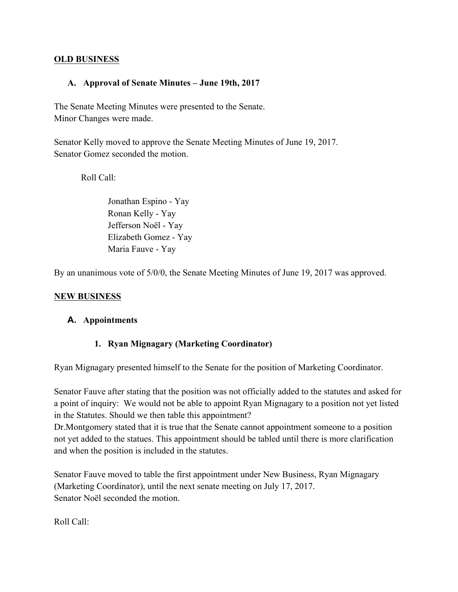#### **OLD BUSINESS**

#### **A. Approval of Senate Minutes – June 19th, 2017**

The Senate Meeting Minutes were presented to the Senate. Minor Changes were made.

Senator Kelly moved to approve the Senate Meeting Minutes of June 19, 2017. Senator Gomez seconded the motion.

Roll Call:

Jonathan Espino - Yay Ronan Kelly - Yay Jefferson Noёl - Yay Elizabeth Gomez - Yay Maria Fauve - Yay

By an unanimous vote of 5/0/0, the Senate Meeting Minutes of June 19, 2017 was approved.

#### **NEW BUSINESS**

#### **A. Appointments**

#### **1. Ryan Mignagary (Marketing Coordinator)**

Ryan Mignagary presented himself to the Senate for the position of Marketing Coordinator.

Senator Fauve after stating that the position was not officially added to the statutes and asked for a point of inquiry: We would not be able to appoint Ryan Mignagary to a position not yet listed in the Statutes. Should we then table this appointment?

Dr.Montgomery stated that it is true that the Senate cannot appointment someone to a position not yet added to the statues. This appointment should be tabled until there is more clarification and when the position is included in the statutes.

Senator Fauve moved to table the first appointment under New Business, Ryan Mignagary (Marketing Coordinator), until the next senate meeting on July 17, 2017. Senator Noёl seconded the motion.

Roll Call: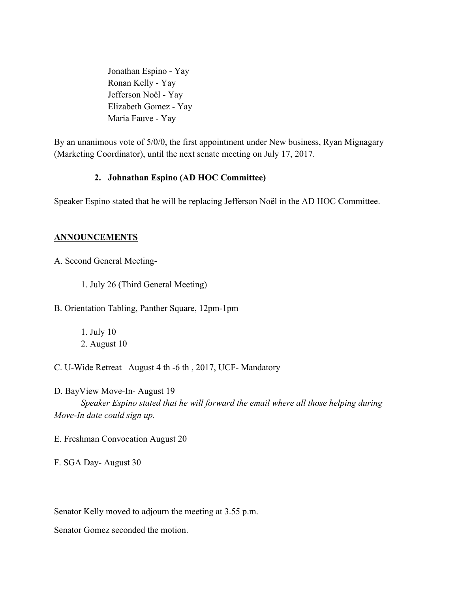Jonathan Espino - Yay Ronan Kelly - Yay Jefferson Noёl - Yay Elizabeth Gomez - Yay Maria Fauve - Yay

By an unanimous vote of 5/0/0, the first appointment under New business, Ryan Mignagary (Marketing Coordinator), until the next senate meeting on July 17, 2017.

#### **2. Johnathan Espino (AD HOC Committee)**

Speaker Espino stated that he will be replacing Jefferson Noёl in the AD HOC Committee.

#### **ANNOUNCEMENTS**

A. Second General Meeting-

1. July 26 (Third General Meeting)

B. Orientation Tabling, Panther Square, 12pm-1pm

1. July 10 2. August 10

C. U-Wide Retreat– August 4 th -6 th , 2017, UCF- Mandatory

D. BayView Move-In- August 19 *Speaker Espino stated that he will forward the email where all those helping during Move-In date could sign up.*

E. Freshman Convocation August 20

F. SGA Day- August 30

Senator Kelly moved to adjourn the meeting at 3.55 p.m.

Senator Gomez seconded the motion.